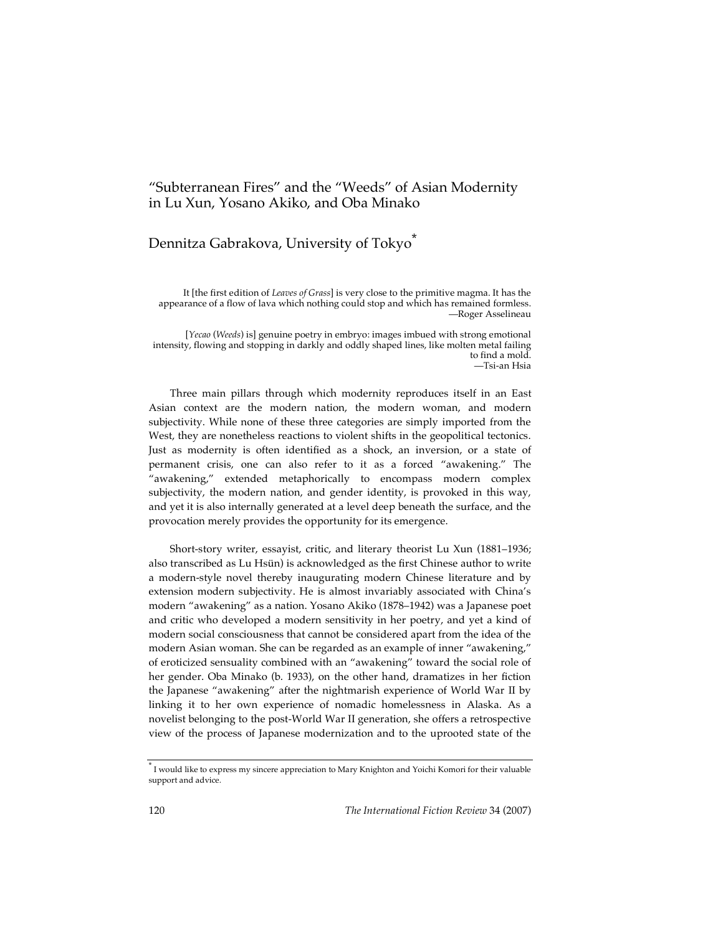## "Subterranean Fires" and the "Weeds" of Asian Modernity in Lu Xun, Yosano Akiko, and Oba Minako

## Dennitza Gabrakova, University of Tokyo<sup>\*</sup>

It [the first edition of *Leaves of Grass*] is very close to the primitive magma. It has the appearance of a flow of lava which nothing could stop and which has remained formless. —Roger Asselineau

[*Yecao* (*Weeds*) is] genuine poetry in embryo: images imbued with strong emotional intensity, flowing and stopping in darkly and oddly shaped lines, like molten metal failing to find a mold. —Tsi-an Hsia

Three main pillars through which modernity reproduces itself in an East Asian context are the modern nation, the modern woman, and modern subjectivity. While none of these three categories are simply imported from the West, they are nonetheless reactions to violent shifts in the geopolitical tectonics. Just as modernity is often identified as a shock, an inversion, or a state of permanent crisis, one can also refer to it as a forced "awakening." The "awakening," extended metaphorically to encompass modern complex subjectivity, the modern nation, and gender identity, is provoked in this way, and yet it is also internally generated at a level deep beneath the surface, and the provocation merely provides the opportunity for its emergence.

Short-story writer, essayist, critic, and literary theorist Lu Xun (1881–1936; also transcribed as Lu Hsün) is acknowledged as the first Chinese author to write a modern-style novel thereby inaugurating modern Chinese literature and by extension modern subjectivity. He is almost invariably associated with China's modern "awakening" as a nation. Yosano Akiko (1878–1942) was a Japanese poet and critic who developed a modern sensitivity in her poetry, and yet a kind of modern social consciousness that cannot be considered apart from the idea of the modern Asian woman. She can be regarded as an example of inner "awakening," of eroticized sensuality combined with an "awakening" toward the social role of her gender. Oba Minako (b. 1933), on the other hand, dramatizes in her fiction the Japanese "awakening" after the nightmarish experience of World War II by linking it to her own experience of nomadic homelessness in Alaska. As a novelist belonging to the post-World War II generation, she offers a retrospective view of the process of Japanese modernization and to the uprooted state of the

<sup>\*</sup> <sup>I</sup> would like to express my sincere appreciation to Mary Knighton and Yoichi Komori for their valuable support and advice.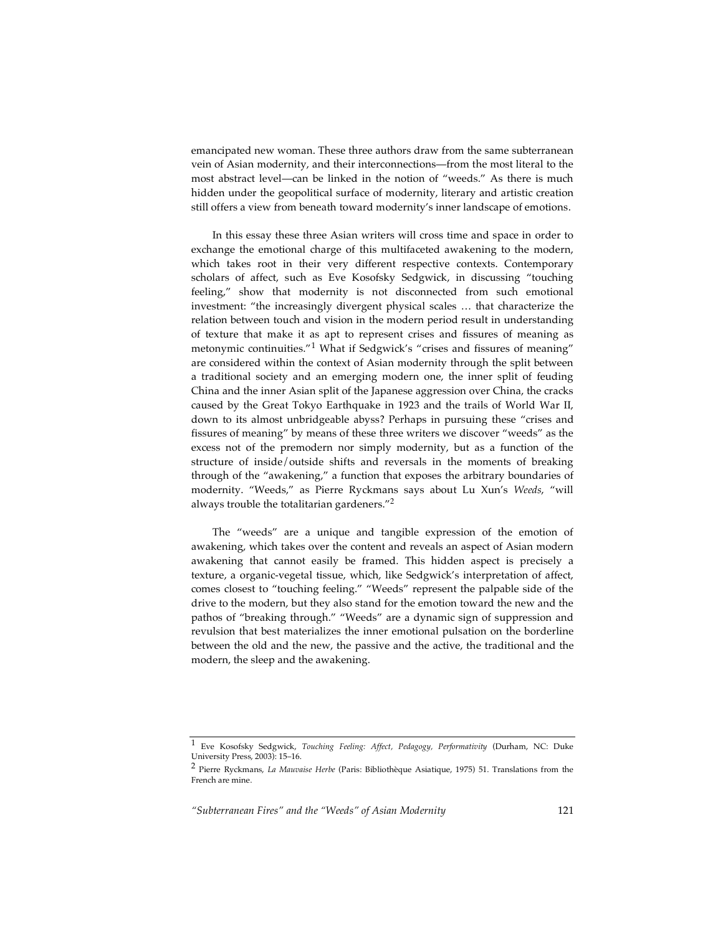emancipated new woman. These three authors draw from the same subterranean vein of Asian modernity, and their interconnections—from the most literal to the most abstract level—can be linked in the notion of "weeds." As there is much hidden under the geopolitical surface of modernity, literary and artistic creation still offers a view from beneath toward modernity's inner landscape of emotions.

In this essay these three Asian writers will cross time and space in order to exchange the emotional charge of this multifaceted awakening to the modern, which takes root in their very different respective contexts. Contemporary scholars of affect, such as Eve Kosofsky Sedgwick, in discussing "touching feeling," show that modernity is not disconnected from such emotional investment: "the increasingly divergent physical scales … that characterize the relation between touch and vision in the modern period result in understanding of texture that make it as apt to represent crises and fissures of meaning as metonymic continuities."<sup>1</sup> What if Sedgwick's "crises and fissures of meaning" are considered within the context of Asian modernity through the split between a traditional society and an emerging modern one, the inner split of feuding China and the inner Asian split of the Japanese aggression over China, the cracks caused by the Great Tokyo Earthquake in 1923 and the trails of World War II, down to its almost unbridgeable abyss? Perhaps in pursuing these "crises and fissures of meaning" by means of these three writers we discover "weeds" as the excess not of the premodern nor simply modernity, but as a function of the structure of inside/outside shifts and reversals in the moments of breaking through of the "awakening," a function that exposes the arbitrary boundaries of modernity. "Weeds," as Pierre Ryckmans says about Lu Xun's *Weeds*, "will always trouble the totalitarian gardeners."<sup>2</sup>

The "weeds" are a unique and tangible expression of the emotion of awakening, which takes over the content and reveals an aspect of Asian modern awakening that cannot easily be framed. This hidden aspect is precisely a texture, a organic-vegetal tissue, which, like Sedgwick's interpretation of affect, comes closest to "touching feeling." "Weeds" represent the palpable side of the drive to the modern, but they also stand for the emotion toward the new and the pathos of "breaking through." "Weeds" are a dynamic sign of suppression and revulsion that best materializes the inner emotional pulsation on the borderline between the old and the new, the passive and the active, the traditional and the modern, the sleep and the awakening.

<sup>1</sup> Eve Kosofsky Sedgwick, *Touching Feeling: Affect, Pedagogy, Performativity* (Durham, NC: Duke University Press, 2003): 15–16.

<sup>2</sup> Pierre Ryckmans, *La Mauvaise Herbe* (Paris: Bibliothèque Asiatique, 1975) 51. Translations from the French are mine.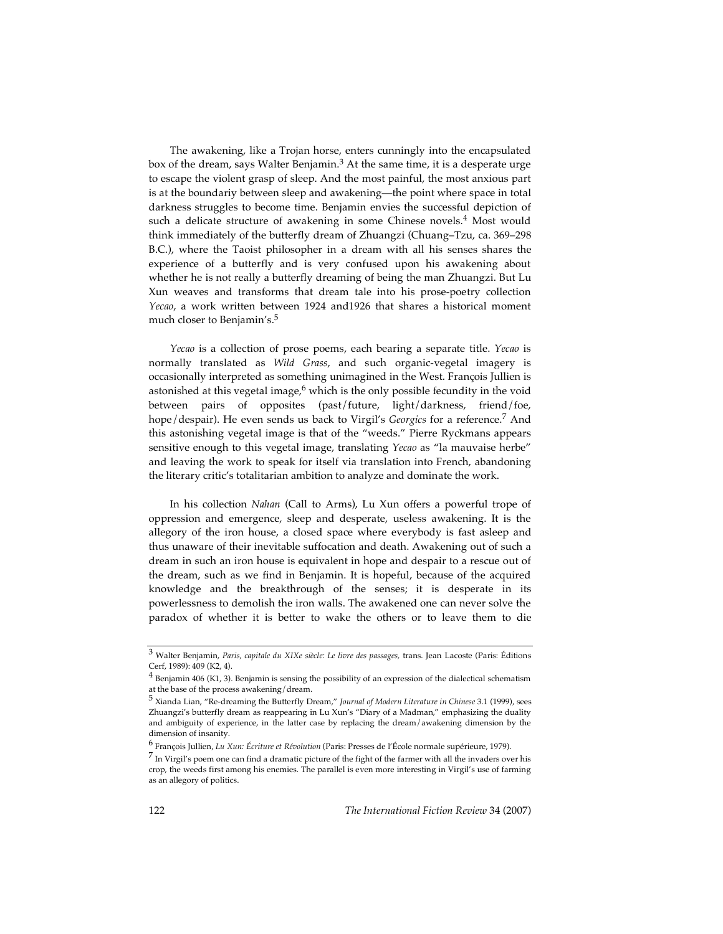The awakening, like a Trojan horse, enters cunningly into the encapsulated box of the dream, says Walter Benjamin. <sup>3</sup> At the same time, it is a desperate urge to escape the violent grasp of sleep. And the most painful, the most anxious part is at the boundariy between sleep and awakening—the point where space in total darkness struggles to become time. Benjamin envies the successful depiction of such a delicate structure of awakening in some Chinese novels. <sup>4</sup> Most would think immediately of the butterfly dream of Zhuangzi (Chuang–Tzu, ca. 369–298 B.C.), where the Taoist philosopher in a dream with all his senses shares the experience of a butterfly and is very confused upon his awakening about whether he is not really a butterfly dreaming of being the man Zhuangzi. But Lu Xun weaves and transforms that dream tale into his prose-poetry collection *Yecao*, a work written between 1924 and1926 that shares a historical moment much closer to Benjamin's. 5

*Yecao* is a collection of prose poems, each bearing a separate title. *Yecao* is normally translated as *Wild Grass*, and such organic-vegetal imagery is occasionally interpreted as something unimagined in the West. François Jullien is astonished at this vegetal image,<sup>6</sup> which is the only possible fecundity in the void between pairs of opposites (past/future, light/darkness, friend/foe, hope/despair). He even sends us back to Virgil's *Georgics* for a reference. <sup>7</sup> And this astonishing vegetal image is that of the "weeds." Pierre Ryckmans appears sensitive enough to this vegetal image, translating *Yecao* as "la mauvaise herbe" and leaving the work to speak for itself via translation into French, abandoning the literary critic's totalitarian ambition to analyze and dominate the work.

In his collection *Nahan* (Call to Arms), Lu Xun offers a powerful trope of oppression and emergence, sleep and desperate, useless awakening. It is the allegory of the iron house, a closed space where everybody is fast asleep and thus unaware of their inevitable suffocation and death. Awakening out of such a dream in such an iron house is equivalent in hope and despair to a rescue out of the dream, such as we find in Benjamin. It is hopeful, because of the acquired knowledge and the breakthrough of the senses; it is desperate in its powerlessness to demolish the iron walls. The awakened one can never solve the paradox of whether it is better to wake the others or to leave them to die

<sup>3</sup> Walter Benjamin, *Paris, capitale du XIXe siècle: Le livre des passages,* trans. Jean Lacoste (Paris: Éditions Cerf, 1989): 409 (K2, 4).

 $^4$  Benjamin 406 (K1, 3). Benjamin is sensing the possibility of an expression of the dialectical schematism at the base of the process awakening/dream.

<sup>5</sup> Xianda Lian, "Re-dreaming the Butterfly Dream," *Journal of Modern Literature in Chinese* 3.1 (1999), sees Zhuangzi's butterfly dream as reappearing in Lu Xun's "Diary of a Madman," emphasizing the duality and ambiguity of experience, in the latter case by replacing the dream/awakening dimension by the dimension of insanity.

<sup>6</sup> François Jullien, *Lu Xun: Écriture et Révolution* (Paris: Presses de l'École normale supérieure, 1979).

 $^7$  In Virgil's poem one can find a dramatic picture of the fight of the farmer with all the invaders over his crop, the weeds first among his enemies. The parallel is even more interesting in Virgil's use of farming as an allegory of politics.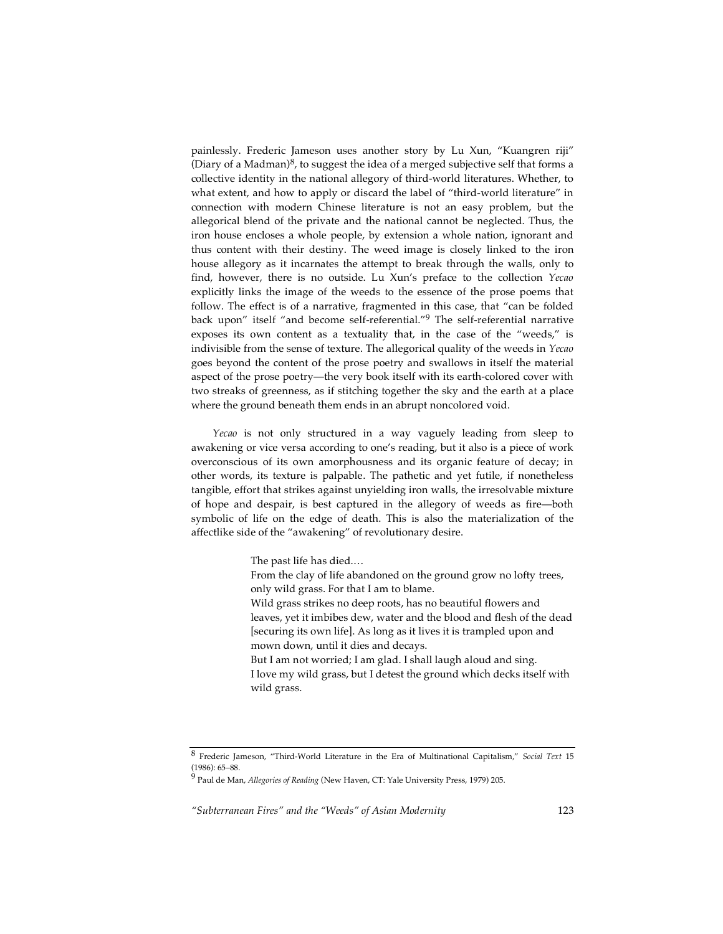painlessly. Frederic Jameson uses another story by Lu Xun, "Kuangren riji" (Diary of a Madman)<sup>8</sup>, to suggest the idea of a merged subjective self that forms a collective identity in the national allegory of third-world literatures. Whether, to what extent, and how to apply or discard the label of "third-world literature" in connection with modern Chinese literature is not an easy problem, but the allegorical blend of the private and the national cannot be neglected. Thus, the iron house encloses a whole people, by extension a whole nation, ignorant and thus content with their destiny. The weed image is closely linked to the iron house allegory as it incarnates the attempt to break through the walls, only to find, however, there is no outside. Lu Xun's preface to the collection *Yecao* explicitly links the image of the weeds to the essence of the prose poems that follow. The effect is of a narrative, fragmented in this case, that "can be folded back upon" itself "and become self-referential."<sup>9</sup> The self-referential narrative exposes its own content as a textuality that, in the case of the "weeds," is indivisible from the sense of texture. The allegorical quality of the weeds in *Yecao* goes beyond the content of the prose poetry and swallows in itself the material aspect of the prose poetry—the very book itself with its earth-colored cover with two streaks of greenness, as if stitching together the sky and the earth at a place where the ground beneath them ends in an abrupt noncolored void.

*Yecao* is not only structured in a way vaguely leading from sleep to awakening or vice versa according to one's reading, but it also is a piece of work overconscious of its own amorphousness and its organic feature of decay; in other words, its texture is palpable. The pathetic and yet futile, if nonetheless tangible, effort that strikes against unyielding iron walls, the irresolvable mixture of hope and despair, is best captured in the allegory of weeds as fire—both symbolic of life on the edge of death. This is also the materialization of the affectlike side of the "awakening" of revolutionary desire.

The past life has died.…

From the clay of life abandoned on the ground grow no lofty trees, only wild grass. For that I am to blame.

Wild grass strikes no deep roots, has no beautiful flowers and leaves, yet it imbibes dew, water and the blood and flesh of the dead [securing its own life]. As long as it lives it is trampled upon and mown down, until it dies and decays.

But I am not worried; I am glad. I shall laugh aloud and sing. I love my wild grass, but I detest the ground which decks itself with wild grass.

<sup>8</sup> Frederic Jameson, "Third-World Literature in the Era of Multinational Capitalism," *Social Text* <sup>15</sup> (1986): 65–88.

<sup>9</sup> Paul de Man, *Allegories of Reading* (New Haven, CT: Yale University Press, 1979) 205.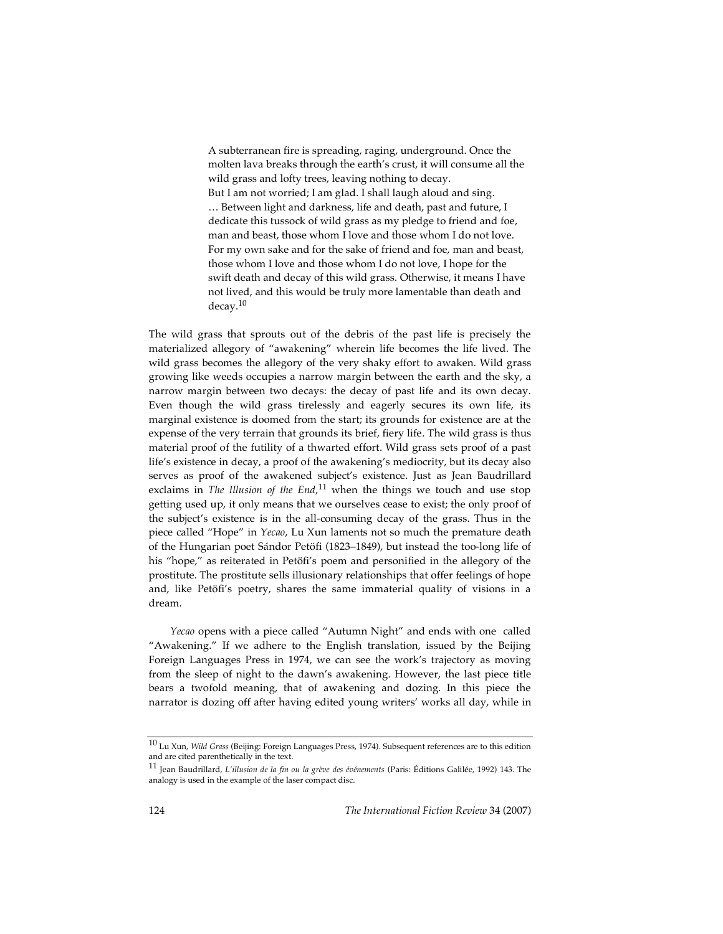A subterranean fire is spreading, raging, underground. Once the molten lava breaks through the earth's crust, it will consume all the wild grass and lofty trees, leaving nothing to decay. But I am not worried; I am glad. I shall laugh aloud and sing. … Between light and darkness, life and death, past and future, I dedicate this tussock of wild grass as my pledge to friend and foe, man and beast, those whom I love and those whom I do not love. For my own sake and for the sake of friend and foe, man and beast, those whom I love and those whom I do not love, I hope for the swift death and decay of this wild grass. Otherwise, it means I have not lived, and this would be truly more lamentable than death and decay. 10

The wild grass that sprouts out of the debris of the past life is precisely the materialized allegory of "awakening" wherein life becomes the life lived. The wild grass becomes the allegory of the very shaky effort to awaken. Wild grass growing like weeds occupies a narrow margin between the earth and the sky, a narrow margin between two decays: the decay of past life and its own decay. Even though the wild grass tirelessly and eagerly secures its own life, its marginal existence is doomed from the start; its grounds for existence are at the expense of the very terrain that grounds its brief, fiery life. The wild grass is thus material proof of the futility of a thwarted effort. Wild grass sets proof of a past life's existence in decay, a proof of the awakening's mediocrity, but its decay also serves as proof of the awakened subject's existence. Just as Jean Baudrillard exclaims in *The Illusion of the End*, <sup>11</sup> when the things we touch and use stop getting used up, it only means that we ourselves cease to exist; the only proof of the subject's existence is in the all-consuming decay of the grass. Thus in the piece called "Hope" in *Yecao*, Lu Xun laments not so much the premature death of the Hungarian poet Sándor Petöfi (1823–1849), but instead the too-long life of his "hope," as reiterated in Petöfi's poem and personified in the allegory of the prostitute. The prostitute sells illusionary relationships that offer feelings of hope and, like Petöfi's poetry, shares the same immaterial quality of visions in a dream.

*Yecao* opens with a piece called "Autumn Night" and ends with one called "Awakening." If we adhere to the English translation, issued by the Beijing Foreign Languages Press in 1974, we can see the work's trajectory as moving from the sleep of night to the dawn's awakening. However, the last piece title bears a twofold meaning, that of awakening and dozing. In this piece the narrator is dozing off after having edited young writers' works all day, while in

<sup>10</sup> Lu Xun, *Wild Grass* (Beijing: Foreign Languages Press, 1974). Subsequent references are to this edition and are cited parenthetically in the text.

<sup>11</sup> Jean Baudrillard, *L'illusion de la fin ou la grève des événements* (Paris: Éditions Galilée, 1992) 143. The analogy is used in the example of the laser compact disc.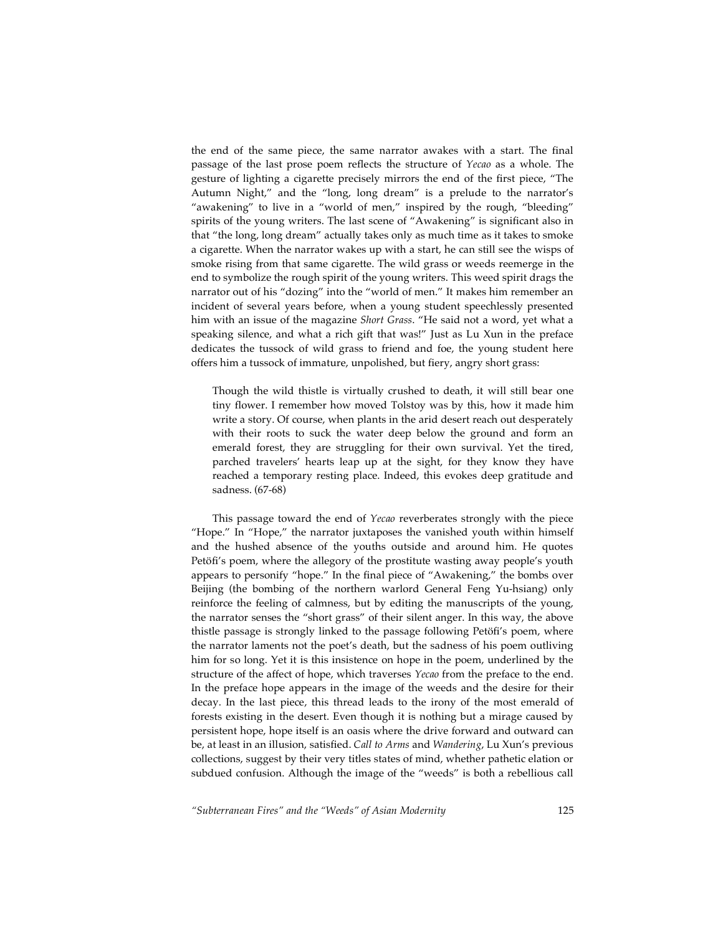the end of the same piece, the same narrator awakes with a start. The final passage of the last prose poem reflects the structure of *Yecao* as a whole. The gesture of lighting a cigarette precisely mirrors the end of the first piece, "The Autumn Night," and the "long, long dream" is a prelude to the narrator's "awakening" to live in a "world of men," inspired by the rough, "bleeding" spirits of the young writers. The last scene of "Awakening" is significant also in that "the long, long dream" actually takes only as much time as it takes to smoke a cigarette. When the narrator wakes up with a start, he can still see the wisps of smoke rising from that same cigarette. The wild grass or weeds reemerge in the end to symbolize the rough spirit of the young writers. This weed spirit drags the narrator out of his "dozing" into the "world of men." It makes him remember an incident of several years before, when a young student speechlessly presented him with an issue of the magazine *Short Grass*. "He said not a word, yet what a speaking silence, and what a rich gift that was!" Just as Lu Xun in the preface dedicates the tussock of wild grass to friend and foe, the young student here offers him a tussock of immature, unpolished, but fiery, angry short grass:

Though the wild thistle is virtually crushed to death, it will still bear one tiny flower. I remember how moved Tolstoy was by this, how it made him write a story. Of course, when plants in the arid desert reach out desperately with their roots to suck the water deep below the ground and form an emerald forest, they are struggling for their own survival. Yet the tired, parched travelers' hearts leap up at the sight, for they know they have reached a temporary resting place. Indeed, this evokes deep gratitude and sadness. (67-68)

This passage toward the end of *Yecao* reverberates strongly with the piece "Hope." In "Hope," the narrator juxtaposes the vanished youth within himself and the hushed absence of the youths outside and around him. He quotes Petöfi's poem, where the allegory of the prostitute wasting away people's youth appears to personify "hope." In the final piece of "Awakening," the bombs over Beijing (the bombing of the northern warlord General Feng Yu-hsiang) only reinforce the feeling of calmness, but by editing the manuscripts of the young, the narrator senses the "short grass" of their silent anger. In this way, the above thistle passage is strongly linked to the passage following Petöfi's poem, where the narrator laments not the poet's death, but the sadness of his poem outliving him for so long. Yet it is this insistence on hope in the poem, underlined by the structure of the affect of hope, which traverses *Yecao* from the preface to the end. In the preface hope appears in the image of the weeds and the desire for their decay. In the last piece, this thread leads to the irony of the most emerald of forests existing in the desert. Even though it is nothing but a mirage caused by persistent hope, hope itself is an oasis where the drive forward and outward can be, at least in an illusion, satisfied. *Call to Arms* and *Wandering*, Lu Xun's previous collections, suggest by their very titles states of mind, whether pathetic elation or subdued confusion. Although the image of the "weeds" is both a rebellious call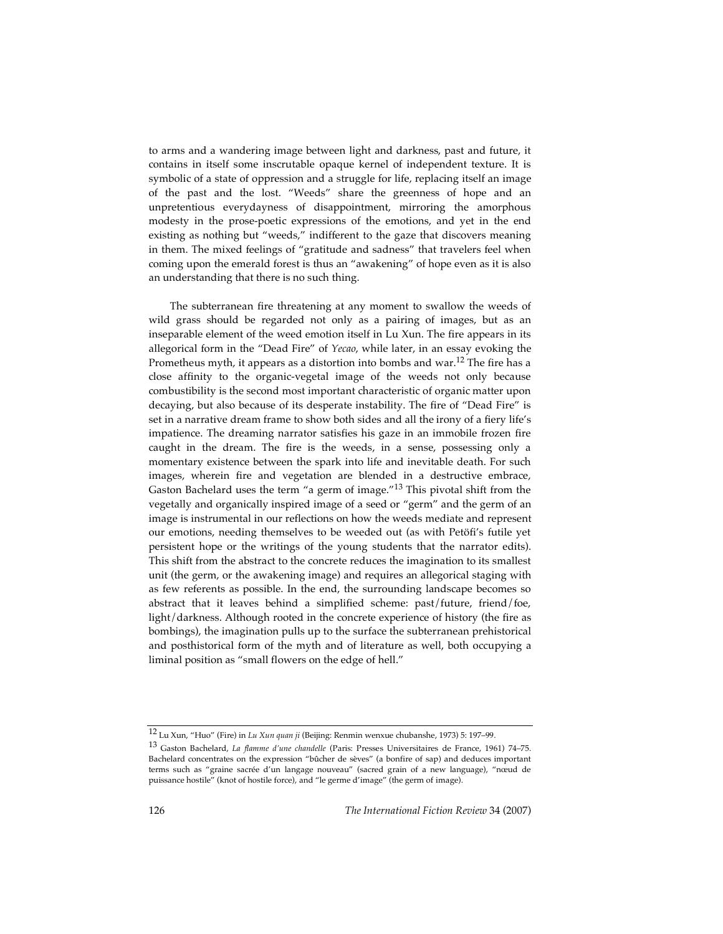to arms and a wandering image between light and darkness, past and future, it contains in itself some inscrutable opaque kernel of independent texture. It is symbolic of a state of oppression and a struggle for life, replacing itself an image of the past and the lost. "Weeds" share the greenness of hope and an unpretentious everydayness of disappointment, mirroring the amorphous modesty in the prose-poetic expressions of the emotions, and yet in the end existing as nothing but "weeds," indifferent to the gaze that discovers meaning in them. The mixed feelings of "gratitude and sadness" that travelers feel when coming upon the emerald forest is thus an "awakening" of hope even as it is also an understanding that there is no such thing.

The subterranean fire threatening at any moment to swallow the weeds of wild grass should be regarded not only as a pairing of images, but as an inseparable element of the weed emotion itself in Lu Xun. The fire appears in its allegorical form in the "Dead Fire" of *Yecao*, while later, in an essay evoking the Prometheus myth, it appears as a distortion into bombs and war.<sup>12</sup> The fire has a close affinity to the organic-vegetal image of the weeds not only because combustibility is the second most important characteristic of organic matter upon decaying, but also because of its desperate instability. The fire of "Dead Fire" is set in a narrative dream frame to show both sides and all the irony of a fiery life's impatience. The dreaming narrator satisfies his gaze in an immobile frozen fire caught in the dream. The fire is the weeds, in a sense, possessing only a momentary existence between the spark into life and inevitable death. For such images, wherein fire and vegetation are blended in a destructive embrace, Gaston Bachelard uses the term "a germ of image."<sup>13</sup> This pivotal shift from the vegetally and organically inspired image of a seed or "germ" and the germ of an image is instrumental in our reflections on how the weeds mediate and represent our emotions, needing themselves to be weeded out (as with Petöfi's futile yet persistent hope or the writings of the young students that the narrator edits). This shift from the abstract to the concrete reduces the imagination to its smallest unit (the germ, or the awakening image) and requires an allegorical staging with as few referents as possible. In the end, the surrounding landscape becomes so abstract that it leaves behind a simplified scheme: past/future, friend/foe, light/darkness. Although rooted in the concrete experience of history (the fire as bombings), the imagination pulls up to the surface the subterranean prehistorical and posthistorical form of the myth and of literature as well, both occupying a liminal position as "small flowers on the edge of hell."

<sup>12</sup> Lu Xun, "Huo" (Fire) in *Lu Xun quan ji* (Beijing: Renmin wenxue chubanshe, 1973) 5: 197–99.

<sup>13</sup> Gaston Bachelard, *La flamme d'une chandelle* (Paris: Presses Universitaires de France, 1961) 74–75. Bachelard concentrates on the expression "bûcher de sèves" (a bonfire of sap) and deduces important terms such as "graine sacrée d'un langage nouveau" (sacred grain of a new language), "nœud de puissance hostile" (knot of hostile force), and "le germe d'image" (the germ of image).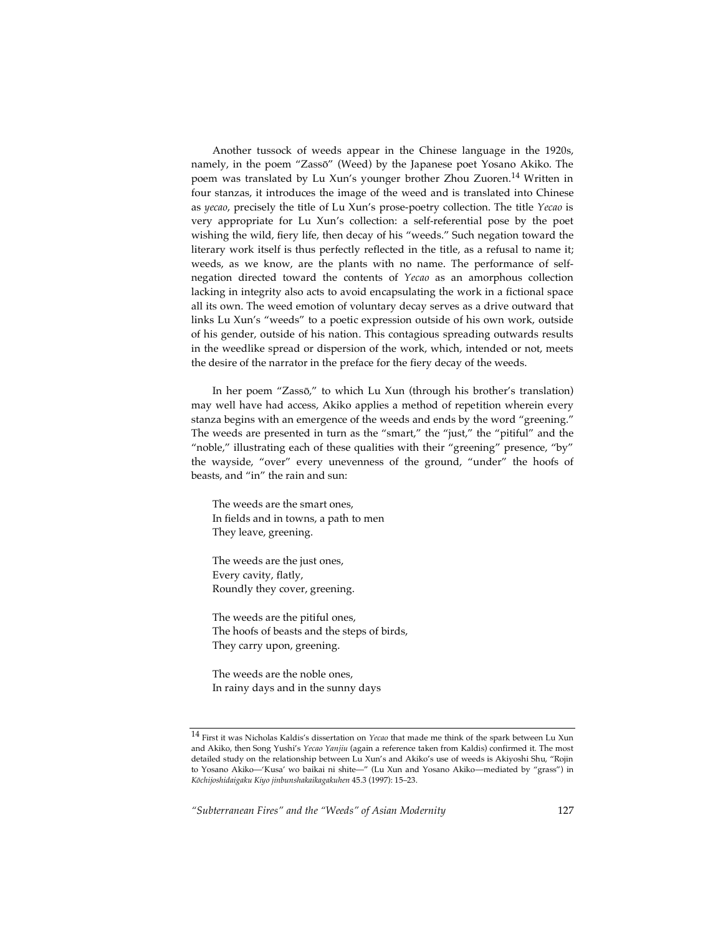Another tussock of weeds appear in the Chinese language in the 1920s, namely, in the poem "Zassō" (Weed) by the Japanese poet Yosano Akiko. The poem was translated by Lu Xun's younger brother Zhou Zuoren. <sup>14</sup> Written in four stanzas, it introduces the image of the weed and is translated into Chinese as *yecao*, precisely the title of Lu Xun's prose-poetry collection. The title *Yecao* is very appropriate for Lu Xun's collection: a self-referential pose by the poet wishing the wild, fiery life, then decay of his "weeds." Such negation toward the literary work itself is thus perfectly reflected in the title, as a refusal to name it; weeds, as we know, are the plants with no name. The performance of selfnegation directed toward the contents of *Yecao* as an amorphous collection lacking in integrity also acts to avoid encapsulating the work in a fictional space all its own. The weed emotion of voluntary decay serves as a drive outward that links Lu Xun's "weeds" to a poetic expression outside of his own work, outside of his gender, outside of his nation. This contagious spreading outwards results in the weedlike spread or dispersion of the work, which, intended or not, meets the desire of the narrator in the preface for the fiery decay of the weeds.

In her poem "Zassō," to which Lu Xun (through his brother's translation) may well have had access, Akiko applies a method of repetition wherein every stanza begins with an emergence of the weeds and ends by the word "greening." The weeds are presented in turn as the "smart," the "just," the "pitiful" and the "noble," illustrating each of these qualities with their "greening" presence, "by" the wayside, "over" every unevenness of the ground, "under" the hoofs of beasts, and "in" the rain and sun:

The weeds are the smart ones, In fields and in towns, a path to men They leave, greening.

The weeds are the just ones, Every cavity, flatly, Roundly they cover, greening.

The weeds are the pitiful ones, The hoofs of beasts and the steps of birds, They carry upon, greening.

The weeds are the noble ones, In rainy days and in the sunny days

<sup>14</sup> First it was Nicholas Kaldis's dissertation on *Yecao* that made me think of the spark between Lu Xun and Akiko, then Song Yushi's *Yecao Yanjiu* (again a reference taken from Kaldis) confirmed it. The most detailed study on the relationship between Lu Xun's and Akiko's use of weeds is Akiyoshi Shu, "Rojin to Yosano Akiko—'Kusa' wo baikai ni shite—" (Lu Xun and Yosano Akiko—mediated by "grass") in *Kōchijoshidaigaku Kiyo jinbunshakaikagakuhen* 45.3 (1997): 15–23.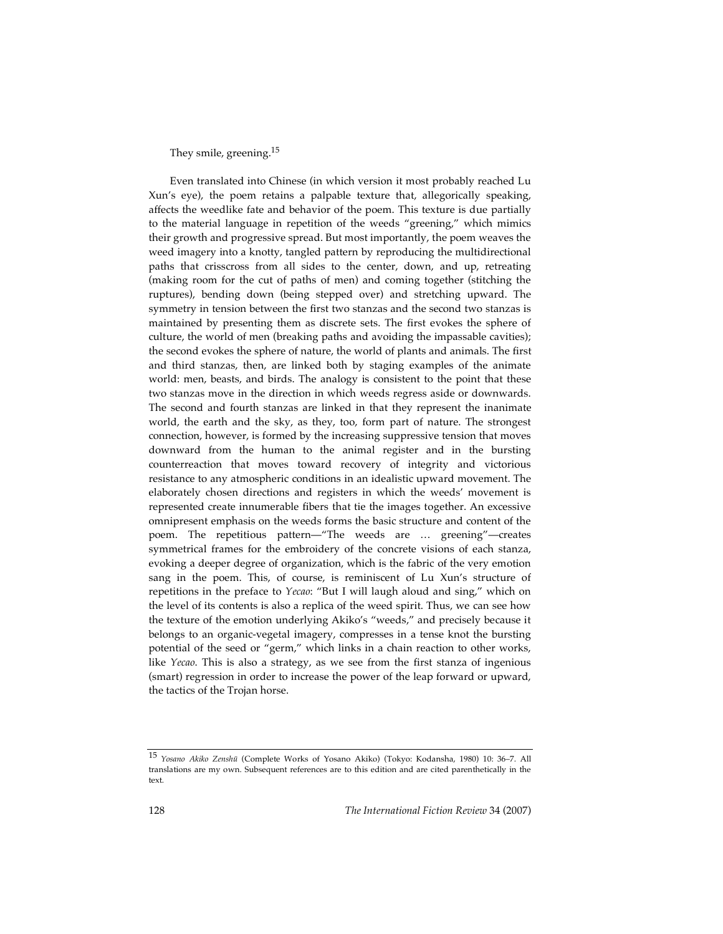## They smile, greening.<sup>15</sup>

Even translated into Chinese (in which version it most probably reached Lu Xun's eye), the poem retains a palpable texture that, allegorically speaking, affects the weedlike fate and behavior of the poem. This texture is due partially to the material language in repetition of the weeds "greening," which mimics their growth and progressive spread. But most importantly, the poem weaves the weed imagery into a knotty, tangled pattern by reproducing the multidirectional paths that crisscross from all sides to the center, down, and up, retreating (making room for the cut of paths of men) and coming together (stitching the ruptures), bending down (being stepped over) and stretching upward. The symmetry in tension between the first two stanzas and the second two stanzas is maintained by presenting them as discrete sets. The first evokes the sphere of culture, the world of men (breaking paths and avoiding the impassable cavities); the second evokes the sphere of nature, the world of plants and animals. The first and third stanzas, then, are linked both by staging examples of the animate world: men, beasts, and birds. The analogy is consistent to the point that these two stanzas move in the direction in which weeds regress aside or downwards. The second and fourth stanzas are linked in that they represent the inanimate world, the earth and the sky, as they, too, form part of nature. The strongest connection, however, is formed by the increasing suppressive tension that moves downward from the human to the animal register and in the bursting counterreaction that moves toward recovery of integrity and victorious resistance to any atmospheric conditions in an idealistic upward movement. The elaborately chosen directions and registers in which the weeds' movement is represented create innumerable fibers that tie the images together. An excessive omnipresent emphasis on the weeds forms the basic structure and content of the poem. The repetitious pattern—"The weeds are … greening"—creates symmetrical frames for the embroidery of the concrete visions of each stanza, evoking a deeper degree of organization, which is the fabric of the very emotion sang in the poem. This, of course, is reminiscent of Lu Xun's structure of repetitions in the preface to *Yecao*: "But I will laugh aloud and sing," which on the level of its contents is also a replica of the weed spirit. Thus, we can see how the texture of the emotion underlying Akiko's "weeds," and precisely because it belongs to an organic-vegetal imagery, compresses in a tense knot the bursting potential of the seed or "germ," which links in a chain reaction to other works, like *Yecao*. This is also a strategy, as we see from the first stanza of ingenious (smart) regression in order to increase the power of the leap forward or upward, the tactics of the Trojan horse.

<sup>15</sup> *Yosano Akiko Zensh<sup>ū</sup>* (Complete Works of Yosano Akiko) (Tokyo: Kodansha, 1980) 10: 36–7. All translations are my own. Subsequent references are to this edition and are cited parenthetically in the text.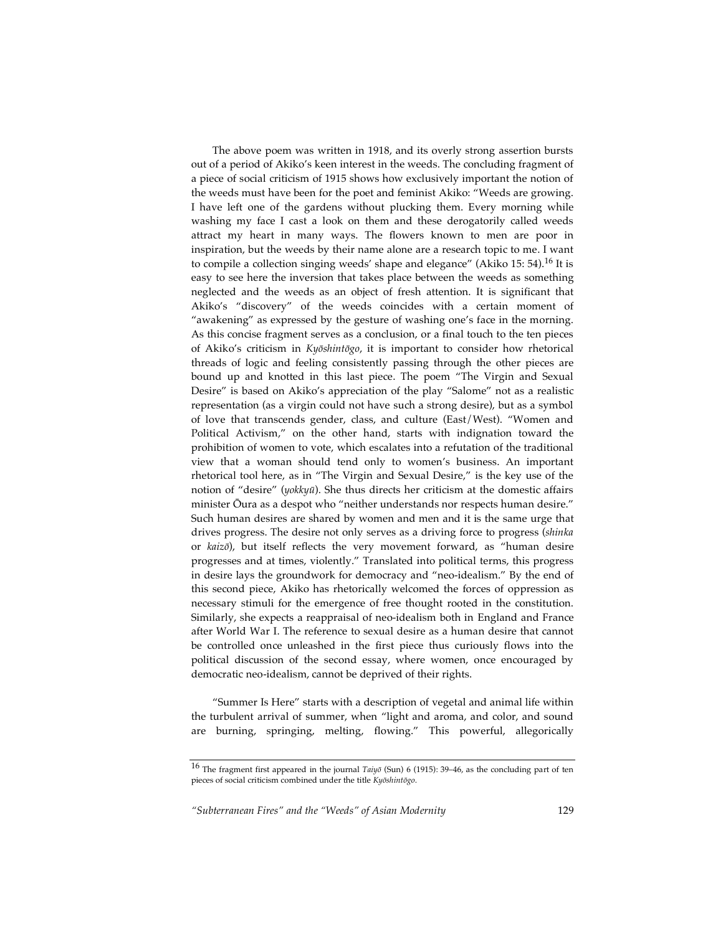The above poem was written in 1918, and its overly strong assertion bursts out of a period of Akiko's keen interest in the weeds. The concluding fragment of a piece of social criticism of 1915 shows how exclusively important the notion of the weeds must have been for the poet and feminist Akiko: "Weeds are growing. I have left one of the gardens without plucking them. Every morning while washing my face I cast a look on them and these derogatorily called weeds attract my heart in many ways. The flowers known to men are poor in inspiration, but the weeds by their name alone are a research topic to me. I want to compile a collection singing weeds' shape and elegance'' (Akiko 15: 54).<sup>16</sup> It is easy to see here the inversion that takes place between the weeds as something neglected and the weeds as an object of fresh attention. It is significant that Akiko's "discovery" of the weeds coincides with a certain moment of "awakening" as expressed by the gesture of washing one's face in the morning. As this concise fragment serves as a conclusion, or a final touch to the ten pieces of Akiko's criticism in *Kyōshintōgo*, it is important to consider how rhetorical threads of logic and feeling consistently passing through the other pieces are bound up and knotted in this last piece. The poem "The Virgin and Sexual Desire" is based on Akiko's appreciation of the play "Salome" not as a realistic representation (as a virgin could not have such a strong desire), but as a symbol of love that transcends gender, class, and culture (East/West). "Women and Political Activism," on the other hand, starts with indignation toward the prohibition of women to vote, which escalates into a refutation of the traditional view that a woman should tend only to women's business. An important rhetorical tool here, as in "The Virgin and Sexual Desire," is the key use of the notion of "desire" (*yokkyū*). She thus directs her criticism at the domestic affairs minister Ōura as a despot who "neither understands nor respects human desire." Such human desires are shared by women and men and it is the same urge that drives progress. The desire not only serves as a driving force to progress (*shinka* or *kaizō*), but itself reflects the very movement forward, as "human desire progresses and at times, violently." Translated into political terms, this progress in desire lays the groundwork for democracy and "neo-idealism." By the end of this second piece, Akiko has rhetorically welcomed the forces of oppression as necessary stimuli for the emergence of free thought rooted in the constitution. Similarly, she expects a reappraisal of neo-idealism both in England and France after World War I. The reference to sexual desire as a human desire that cannot be controlled once unleashed in the first piece thus curiously flows into the political discussion of the second essay, where women, once encouraged by democratic neo-idealism, cannot be deprived of their rights.

"Summer Is Here" starts with a description of vegetal and animal life within the turbulent arrival of summer, when "light and aroma, and color, and sound are burning, springing, melting, flowing." This powerful, allegorically

<sup>16</sup> The fragment first appeared in the journal *Taiy<sup>ō</sup>* (Sun) <sup>6</sup> (1915): 39–46, as the concluding part of ten pieces of social criticism combined under the title *Kyōshintōgo*.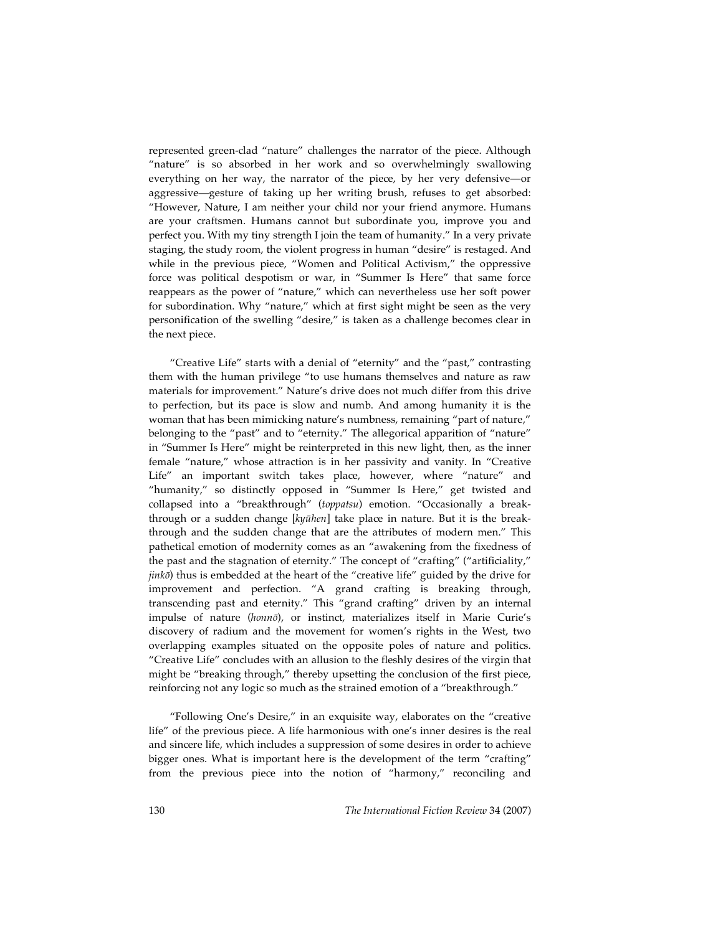represented green-clad "nature" challenges the narrator of the piece. Although "nature" is so absorbed in her work and so overwhelmingly swallowing everything on her way, the narrator of the piece, by her very defensive—or aggressive—gesture of taking up her writing brush, refuses to get absorbed: "However, Nature, I am neither your child nor your friend anymore. Humans are your craftsmen. Humans cannot but subordinate you, improve you and perfect you. With my tiny strength I join the team of humanity." In a very private staging, the study room, the violent progress in human "desire" is restaged. And while in the previous piece, "Women and Political Activism," the oppressive force was political despotism or war, in "Summer Is Here" that same force reappears as the power of "nature," which can nevertheless use her soft power for subordination. Why "nature," which at first sight might be seen as the very personification of the swelling "desire," is taken as a challenge becomes clear in the next piece.

"Creative Life" starts with a denial of "eternity" and the "past," contrasting them with the human privilege "to use humans themselves and nature as raw materials for improvement." Nature's drive does not much differ from this drive to perfection, but its pace is slow and numb. And among humanity it is the woman that has been mimicking nature's numbness, remaining "part of nature," belonging to the "past" and to "eternity." The allegorical apparition of "nature" in "Summer Is Here" might be reinterpreted in this new light, then, as the inner female "nature," whose attraction is in her passivity and vanity. In "Creative Life" an important switch takes place, however, where "nature" and "humanity," so distinctly opposed in "Summer Is Here," get twisted and collapsed into a "breakthrough" (*toppatsu*) emotion. "Occasionally a breakthrough or a sudden change [*kyūhen*] take place in nature. But it is the breakthrough and the sudden change that are the attributes of modern men." This pathetical emotion of modernity comes as an "awakening from the fixedness of the past and the stagnation of eternity." The concept of "crafting" ("artificiality," *jinkō*) thus is embedded at the heart of the "creative life" guided by the drive for improvement and perfection. "A grand crafting is breaking through, transcending past and eternity." This "grand crafting" driven by an internal impulse of nature (*honnō*), or instinct, materializes itself in Marie Curie's discovery of radium and the movement for women's rights in the West, two overlapping examples situated on the opposite poles of nature and politics. "Creative Life" concludes with an allusion to the fleshly desires of the virgin that might be "breaking through," thereby upsetting the conclusion of the first piece, reinforcing not any logic so much as the strained emotion of a "breakthrough."

"Following One's Desire," in an exquisite way, elaborates on the "creative life" of the previous piece. A life harmonious with one's inner desires is the real and sincere life, which includes a suppression of some desires in order to achieve bigger ones. What is important here is the development of the term "crafting" from the previous piece into the notion of "harmony," reconciling and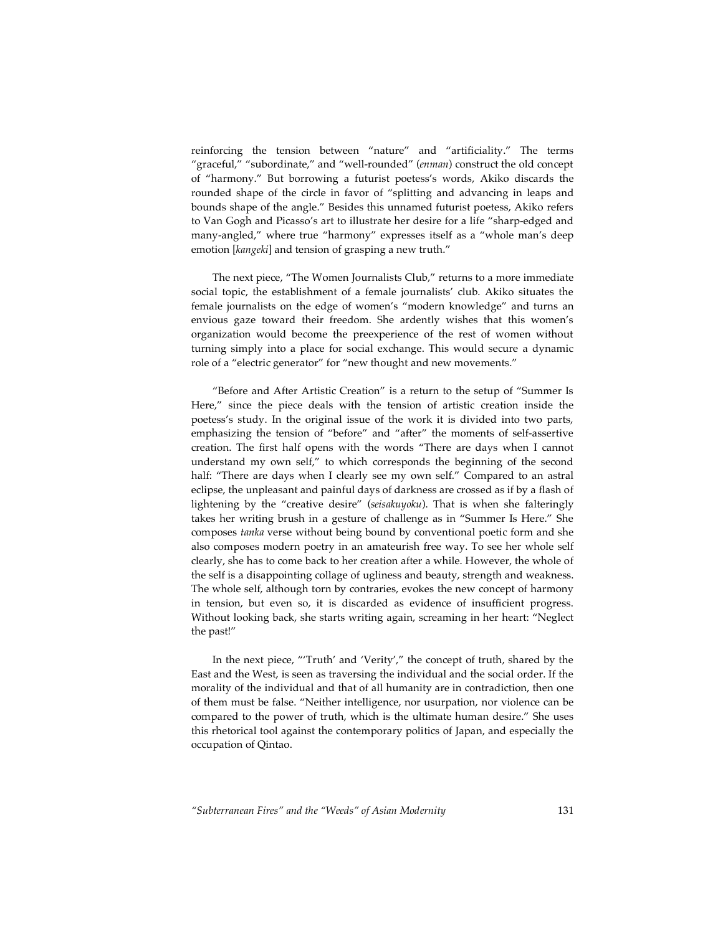reinforcing the tension between "nature" and "artificiality." The terms "graceful," "subordinate," and "well-rounded" (*enman*) construct the old concept of "harmony." But borrowing a futurist poetess's words, Akiko discards the rounded shape of the circle in favor of "splitting and advancing in leaps and bounds shape of the angle." Besides this unnamed futurist poetess, Akiko refers to Van Gogh and Picasso's art to illustrate her desire for a life "sharp-edged and many-angled," where true "harmony" expresses itself as a "whole man's deep emotion [*kangeki*] and tension of grasping a new truth."

The next piece, "The Women Journalists Club," returns to a more immediate social topic, the establishment of a female journalists' club. Akiko situates the female journalists on the edge of women's "modern knowledge" and turns an envious gaze toward their freedom. She ardently wishes that this women's organization would become the preexperience of the rest of women without turning simply into a place for social exchange. This would secure a dynamic role of a "electric generator" for "new thought and new movements."

"Before and After Artistic Creation" is a return to the setup of "Summer Is Here," since the piece deals with the tension of artistic creation inside the poetess's study. In the original issue of the work it is divided into two parts, emphasizing the tension of "before" and "after" the moments of self-assertive creation. The first half opens with the words "There are days when I cannot understand my own self," to which corresponds the beginning of the second half: "There are days when I clearly see my own self." Compared to an astral eclipse, the unpleasant and painful days of darkness are crossed as if by a flash of lightening by the "creative desire" (*seisakuyoku*). That is when she falteringly takes her writing brush in a gesture of challenge as in "Summer Is Here." She composes *tanka* verse without being bound by conventional poetic form and she also composes modern poetry in an amateurish free way. To see her whole self clearly, she has to come back to her creation after a while. However, the whole of the self is a disappointing collage of ugliness and beauty, strength and weakness. The whole self, although torn by contraries, evokes the new concept of harmony in tension, but even so, it is discarded as evidence of insufficient progress. Without looking back, she starts writing again, screaming in her heart: "Neglect the past!"

In the next piece, "'Truth' and 'Verity'," the concept of truth, shared by the East and the West, is seen as traversing the individual and the social order. If the morality of the individual and that of all humanity are in contradiction, then one of them must be false. "Neither intelligence, nor usurpation, nor violence can be compared to the power of truth, which is the ultimate human desire." She uses this rhetorical tool against the contemporary politics of Japan, and especially the occupation of Qintao.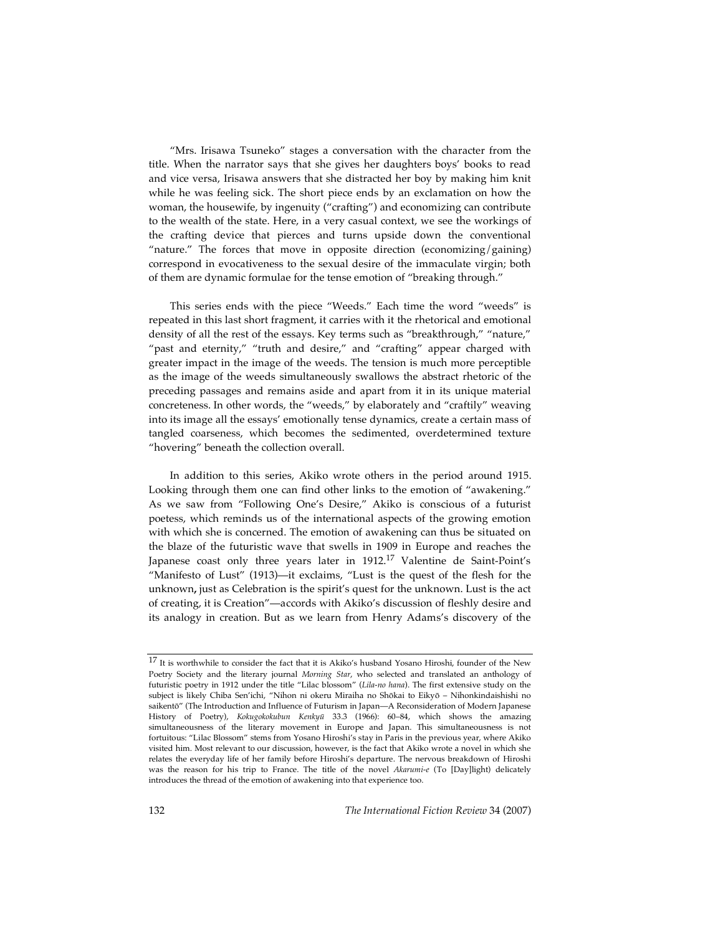"Mrs. Irisawa Tsuneko" stages a conversation with the character from the title. When the narrator says that she gives her daughters boys' books to read and vice versa, Irisawa answers that she distracted her boy by making him knit while he was feeling sick. The short piece ends by an exclamation on how the woman, the housewife, by ingenuity ("crafting") and economizing can contribute to the wealth of the state. Here, in a very casual context, we see the workings of the crafting device that pierces and turns upside down the conventional "nature." The forces that move in opposite direction (economizing/gaining) correspond in evocativeness to the sexual desire of the immaculate virgin; both of them are dynamic formulae for the tense emotion of "breaking through."

This series ends with the piece "Weeds." Each time the word "weeds" is repeated in this last short fragment, it carries with it the rhetorical and emotional density of all the rest of the essays. Key terms such as "breakthrough," "nature," "past and eternity," "truth and desire," and "crafting" appear charged with greater impact in the image of the weeds. The tension is much more perceptible as the image of the weeds simultaneously swallows the abstract rhetoric of the preceding passages and remains aside and apart from it in its unique material concreteness. In other words, the "weeds," by elaborately and "craftily" weaving into its image all the essays' emotionally tense dynamics, create a certain mass of tangled coarseness, which becomes the sedimented, overdetermined texture "hovering" beneath the collection overall.

In addition to this series, Akiko wrote others in the period around 1915. Looking through them one can find other links to the emotion of "awakening." As we saw from "Following One's Desire," Akiko is conscious of a futurist poetess, which reminds us of the international aspects of the growing emotion with which she is concerned. The emotion of awakening can thus be situated on the blaze of the futuristic wave that swells in 1909 in Europe and reaches the Japanese coast only three years later in 1912.<sup>17</sup> Valentine de Saint-Point's "Manifesto of Lust" (1913)—it exclaims, "Lust is the quest of the flesh for the unknown**,** just as Celebration is the spirit's quest for the unknown. Lust is the act of creating, it is Creation"—accords with Akiko's discussion of fleshly desire and its analogy in creation. But as we learn from Henry Adams's discovery of the

 $^{17}$  It is worthwhile to consider the fact that it is Akiko's husband Yosano Hiroshi, founder of the New Poetry Society and the literary journal *Morning Star*, who selected and translated an anthology of futuristic poetry in 1912 under the title "Lilac blossom" (*Lila-no hana*). The first extensive study on the subject is likely Chiba Sen'ichi, "Nihon ni okeru Miraiha no Shōkai to Eikyō – Nihonkindaishishi no saikentō" (The Introduction and Influence of Futurism in Japan—A Reconsideration of Modern Japanese History of Poetry), *Kokugokokubun Kenkyū* 33.3 (1966): 60–84, which shows the amazing simultaneousness of the literary movement in Europe and Japan. This simultaneousness is not fortuitous: "Lilac Blossom" stems from Yosano Hiroshi's stay in Paris in the previous year, where Akiko visited him. Most relevant to our discussion, however, is the fact that Akiko wrote a novel in which she relates the everyday life of her family before Hiroshi's departure. The nervous breakdown of Hiroshi was the reason for his trip to France. The title of the novel *Akarumi-e* (To [Day]light) delicately introduces the thread of the emotion of awakening into that experience too.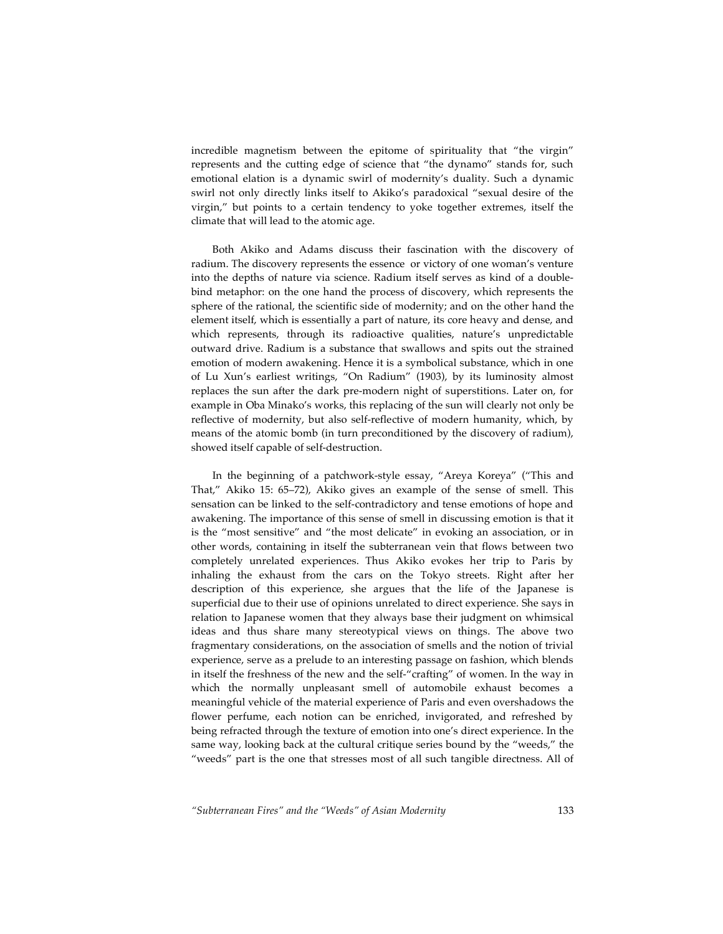incredible magnetism between the epitome of spirituality that "the virgin" represents and the cutting edge of science that "the dynamo" stands for, such emotional elation is a dynamic swirl of modernity's duality. Such a dynamic swirl not only directly links itself to Akiko's paradoxical "sexual desire of the virgin," but points to a certain tendency to yoke together extremes, itself the climate that will lead to the atomic age.

Both Akiko and Adams discuss their fascination with the discovery of radium. The discovery represents the essence or victory of one woman's venture into the depths of nature via science. Radium itself serves as kind of a doublebind metaphor: on the one hand the process of discovery, which represents the sphere of the rational, the scientific side of modernity; and on the other hand the element itself, which is essentially a part of nature, its core heavy and dense, and which represents, through its radioactive qualities, nature's unpredictable outward drive. Radium is a substance that swallows and spits out the strained emotion of modern awakening. Hence it is a symbolical substance, which in one of Lu Xun's earliest writings, "On Radium" (1903), by its luminosity almost replaces the sun after the dark pre-modern night of superstitions. Later on, for example in Oba Minako's works, this replacing of the sun will clearly not only be reflective of modernity, but also self-reflective of modern humanity, which, by means of the atomic bomb (in turn preconditioned by the discovery of radium), showed itself capable of self-destruction.

In the beginning of a patchwork-style essay, "Areya Koreya" ("This and That," Akiko 15: 65–72), Akiko gives an example of the sense of smell. This sensation can be linked to the self-contradictory and tense emotions of hope and awakening. The importance of this sense of smell in discussing emotion is that it is the "most sensitive" and "the most delicate" in evoking an association, or in other words, containing in itself the subterranean vein that flows between two completely unrelated experiences. Thus Akiko evokes her trip to Paris by inhaling the exhaust from the cars on the Tokyo streets. Right after her description of this experience, she argues that the life of the Japanese is superficial due to their use of opinions unrelated to direct experience. She says in relation to Japanese women that they always base their judgment on whimsical ideas and thus share many stereotypical views on things. The above two fragmentary considerations, on the association of smells and the notion of trivial experience, serve as a prelude to an interesting passage on fashion, which blends in itself the freshness of the new and the self-"crafting" of women. In the way in which the normally unpleasant smell of automobile exhaust becomes a meaningful vehicle of the material experience of Paris and even overshadows the flower perfume, each notion can be enriched, invigorated, and refreshed by being refracted through the texture of emotion into one's direct experience. In the same way, looking back at the cultural critique series bound by the "weeds," the "weeds" part is the one that stresses most of all such tangible directness. All of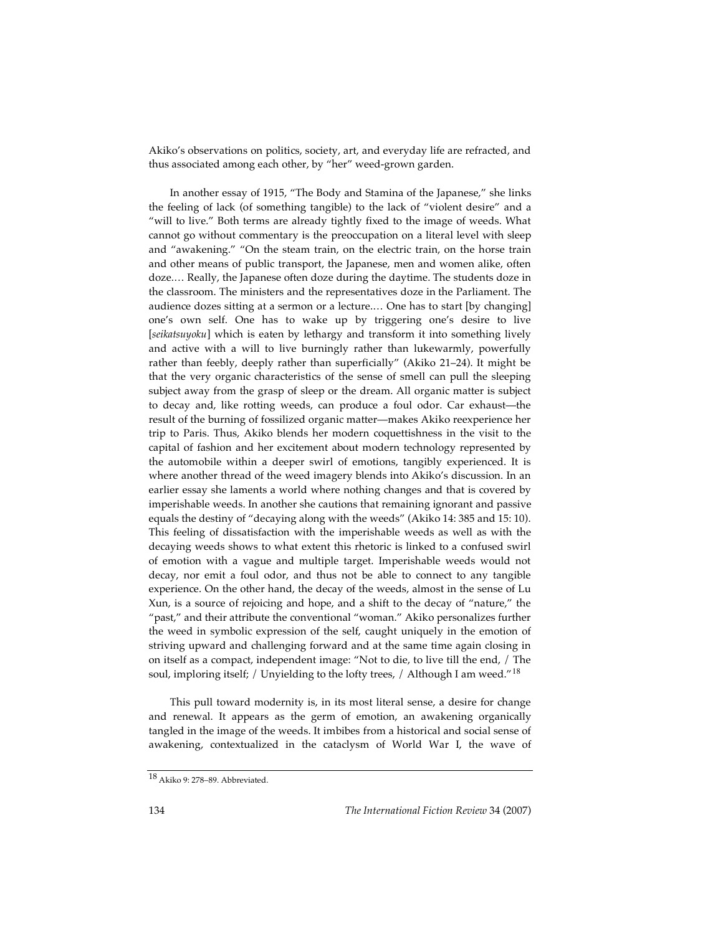Akiko's observations on politics, society, art, and everyday life are refracted, and thus associated among each other, by "her" weed-grown garden.

In another essay of 1915, "The Body and Stamina of the Japanese," she links the feeling of lack (of something tangible) to the lack of "violent desire" and a "will to live." Both terms are already tightly fixed to the image of weeds. What cannot go without commentary is the preoccupation on a literal level with sleep and "awakening." "On the steam train, on the electric train, on the horse train and other means of public transport, the Japanese, men and women alike, often doze.… Really, the Japanese often doze during the daytime. The students doze in the classroom. The ministers and the representatives doze in the Parliament. The audience dozes sitting at a sermon or a lecture.… One has to start [by changing] one's own self. One has to wake up by triggering one's desire to live [*seikatsuyoku*] which is eaten by lethargy and transform it into something lively and active with a will to live burningly rather than lukewarmly, powerfully rather than feebly, deeply rather than superficially" (Akiko 21–24). It might be that the very organic characteristics of the sense of smell can pull the sleeping subject away from the grasp of sleep or the dream. All organic matter is subject to decay and, like rotting weeds, can produce a foul odor. Car exhaust—the result of the burning of fossilized organic matter—makes Akiko reexperience her trip to Paris. Thus, Akiko blends her modern coquettishness in the visit to the capital of fashion and her excitement about modern technology represented by the automobile within a deeper swirl of emotions, tangibly experienced. It is where another thread of the weed imagery blends into Akiko's discussion. In an earlier essay she laments a world where nothing changes and that is covered by imperishable weeds. In another she cautions that remaining ignorant and passive equals the destiny of "decaying along with the weeds" (Akiko 14: 385 and 15: 10). This feeling of dissatisfaction with the imperishable weeds as well as with the decaying weeds shows to what extent this rhetoric is linked to a confused swirl of emotion with a vague and multiple target. Imperishable weeds would not decay, nor emit a foul odor, and thus not be able to connect to any tangible experience. On the other hand, the decay of the weeds, almost in the sense of Lu Xun, is a source of rejoicing and hope, and a shift to the decay of "nature," the "past," and their attribute the conventional "woman." Akiko personalizes further the weed in symbolic expression of the self, caught uniquely in the emotion of striving upward and challenging forward and at the same time again closing in on itself as a compact, independent image: "Not to die, to live till the end, / The soul, imploring itself; / Unyielding to the lofty trees, / Although I am weed."<sup>18</sup>

This pull toward modernity is, in its most literal sense, a desire for change and renewal. It appears as the germ of emotion, an awakening organically tangled in the image of the weeds. It imbibes from a historical and social sense of awakening, contextualized in the cataclysm of World War I, the wave of

<sup>18</sup> Akiko 9: 278–89. Abbreviated.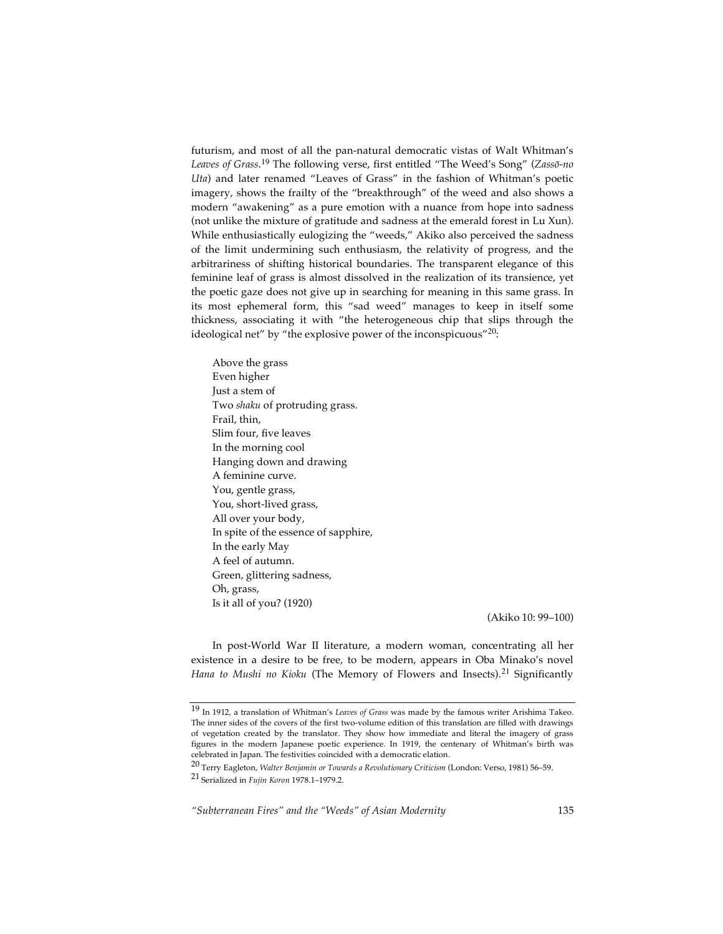futurism, and most of all the pan-natural democratic vistas of Walt Whitman's *Leaves of Grass*. <sup>19</sup> The following verse, first entitled "The Weed's Song" (*Zassō-no Uta*) and later renamed "Leaves of Grass" in the fashion of Whitman's poetic imagery, shows the frailty of the "breakthrough" of the weed and also shows a modern "awakening" as a pure emotion with a nuance from hope into sadness (not unlike the mixture of gratitude and sadness at the emerald forest in Lu Xun). While enthusiastically eulogizing the "weeds," Akiko also perceived the sadness of the limit undermining such enthusiasm, the relativity of progress, and the arbitrariness of shifting historical boundaries. The transparent elegance of this feminine leaf of grass is almost dissolved in the realization of its transience, yet the poetic gaze does not give up in searching for meaning in this same grass. In its most ephemeral form, this "sad weed" manages to keep in itself some thickness, associating it with "the heterogeneous chip that slips through the ideological net" by "the explosive power of the inconspicuous"<sup>20</sup>:

Above the grass Even higher Just a stem of Two *shaku* of protruding grass. Frail, thin, Slim four, five leaves In the morning cool Hanging down and drawing A feminine curve. You, gentle grass, You, short-lived grass, All over your body, In spite of the essence of sapphire, In the early May A feel of autumn. Green, glittering sadness, Oh, grass, Is it all of you? (1920)

(Akiko 10: 99–100)

In post-World War II literature, a modern woman, concentrating all her existence in a desire to be free, to be modern, appears in Oba Minako's novel *Hana to Mushi no Kioku* (The Memory of Flowers and Insects). <sup>21</sup> Significantly

<sup>19</sup> In 1912, <sup>a</sup> translation of Whitman's *Leaves of Grass* was made by the famous writer Arishima Takeo. The inner sides of the covers of the first two-volume edition of this translation are filled with drawings of vegetation created by the translator. They show how immediate and literal the imagery of grass figures in the modern Japanese poetic experience. In 1919, the centenary of Whitman's birth was celebrated in Japan. The festivities coincided with a democratic elation.

<sup>20</sup> Terry Eagleton, *Walter Benjamin or Towards <sup>a</sup> Revolutionary Criticism* (London: Verso, 1981) 56–59.

<sup>21</sup> Serialized in *Fujin Koron* 1978.1–1979.2.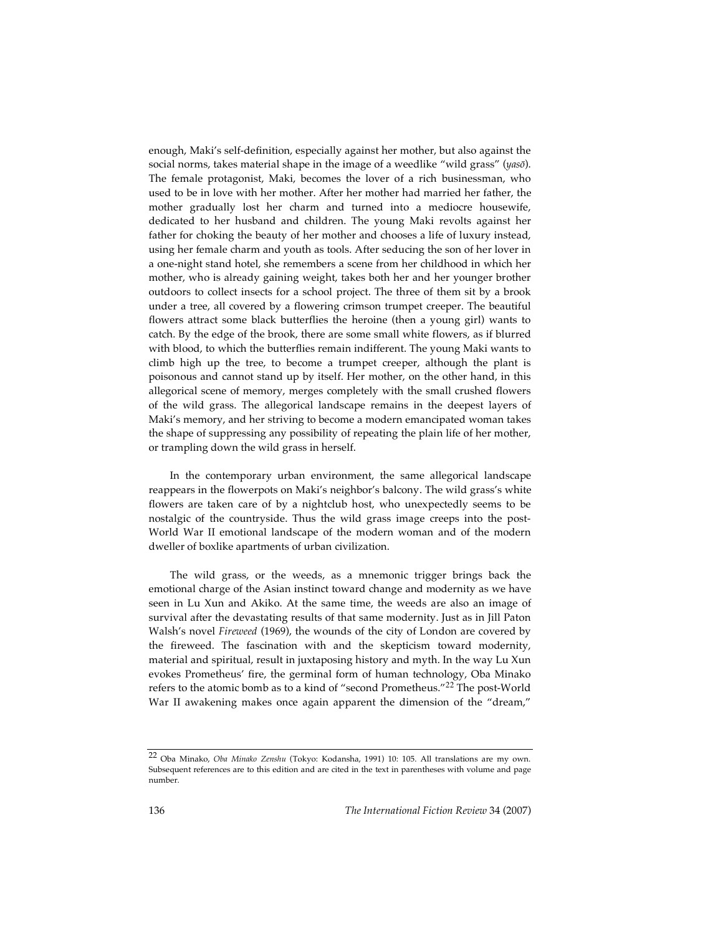enough, Maki's self-definition, especially against her mother, but also against the social norms, takes material shape in the image of a weedlike "wild grass" (*yasō*). The female protagonist, Maki, becomes the lover of a rich businessman, who used to be in love with her mother. After her mother had married her father, the mother gradually lost her charm and turned into a mediocre housewife, dedicated to her husband and children. The young Maki revolts against her father for choking the beauty of her mother and chooses a life of luxury instead, using her female charm and youth as tools. After seducing the son of her lover in a one-night stand hotel, she remembers a scene from her childhood in which her mother, who is already gaining weight, takes both her and her younger brother outdoors to collect insects for a school project. The three of them sit by a brook under a tree, all covered by a flowering crimson trumpet creeper. The beautiful flowers attract some black butterflies the heroine (then a young girl) wants to catch. By the edge of the brook, there are some small white flowers, as if blurred with blood, to which the butterflies remain indifferent. The young Maki wants to climb high up the tree, to become a trumpet creeper, although the plant is poisonous and cannot stand up by itself. Her mother, on the other hand, in this allegorical scene of memory, merges completely with the small crushed flowers of the wild grass. The allegorical landscape remains in the deepest layers of Maki's memory, and her striving to become a modern emancipated woman takes the shape of suppressing any possibility of repeating the plain life of her mother, or trampling down the wild grass in herself.

In the contemporary urban environment, the same allegorical landscape reappears in the flowerpots on Maki's neighbor's balcony. The wild grass's white flowers are taken care of by a nightclub host, who unexpectedly seems to be nostalgic of the countryside. Thus the wild grass image creeps into the post-World War II emotional landscape of the modern woman and of the modern dweller of boxlike apartments of urban civilization.

The wild grass, or the weeds, as a mnemonic trigger brings back the emotional charge of the Asian instinct toward change and modernity as we have seen in Lu Xun and Akiko. At the same time, the weeds are also an image of survival after the devastating results of that same modernity. Just as in Jill Paton Walsh's novel *Fireweed* (1969), the wounds of the city of London are covered by the fireweed. The fascination with and the skepticism toward modernity, material and spiritual, result in juxtaposing history and myth. In the way Lu Xun evokes Prometheus' fire, the germinal form of human technology, Oba Minako refers to the atomic bomb as to a kind of "second Prometheus."<sup>22</sup> The post-World War II awakening makes once again apparent the dimension of the "dream,"

<sup>22</sup> Oba Minako, *Oba Minako Zenshu* (Tokyo: Kodansha, 1991) 10: 105. All translations are my own. Subsequent references are to this edition and are cited in the text in parentheses with volume and page number.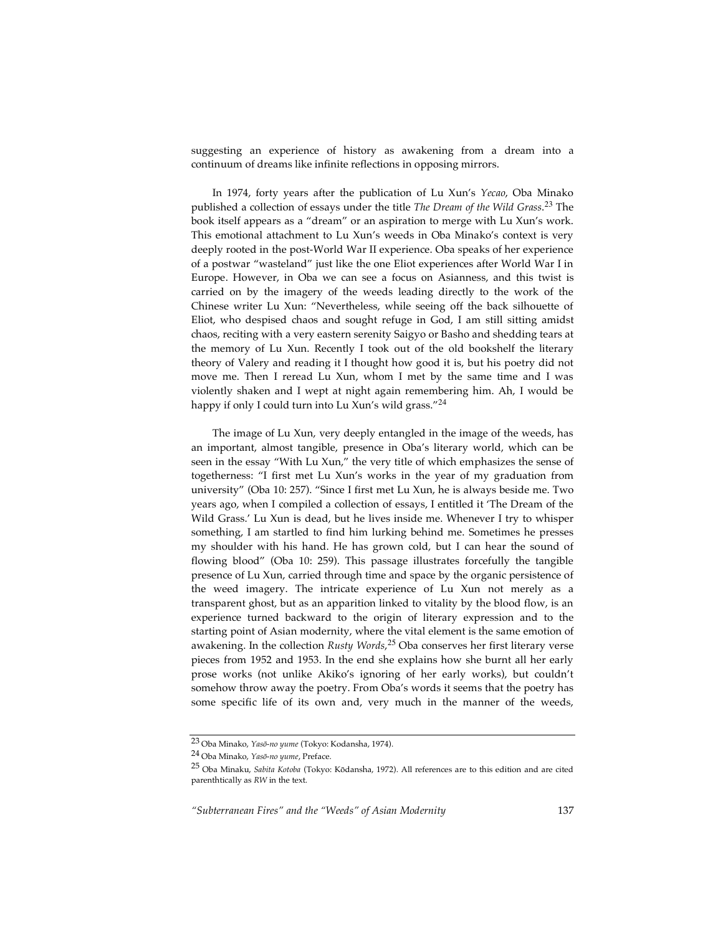suggesting an experience of history as awakening from a dream into a continuum of dreams like infinite reflections in opposing mirrors.

In 1974, forty years after the publication of Lu Xun's *Yecao*, Oba Minako published a collection of essays under the title *The Dream of the Wild Grass*. <sup>23</sup> The book itself appears as a "dream" or an aspiration to merge with Lu Xun's work. This emotional attachment to Lu Xun's weeds in Oba Minako's context is very deeply rooted in the post-World War II experience. Oba speaks of her experience of a postwar "wasteland" just like the one Eliot experiences after World War I in Europe. However, in Oba we can see a focus on Asianness, and this twist is carried on by the imagery of the weeds leading directly to the work of the Chinese writer Lu Xun: "Nevertheless, while seeing off the back silhouette of Eliot, who despised chaos and sought refuge in God, I am still sitting amidst chaos, reciting with a very eastern serenity Saigyo or Basho and shedding tears at the memory of Lu Xun. Recently I took out of the old bookshelf the literary theory of Valery and reading it I thought how good it is, but his poetry did not move me. Then I reread Lu Xun, whom I met by the same time and I was violently shaken and I wept at night again remembering him. Ah, I would be happy if only I could turn into Lu Xun's wild grass."<sup>24</sup>

The image of Lu Xun, very deeply entangled in the image of the weeds, has an important, almost tangible, presence in Oba's literary world, which can be seen in the essay "With Lu Xun," the very title of which emphasizes the sense of togetherness: "I first met Lu Xun's works in the year of my graduation from university" (Oba 10: 257). "Since I first met Lu Xun, he is always beside me. Two years ago, when I compiled a collection of essays, I entitled it 'The Dream of the Wild Grass.' Lu Xun is dead, but he lives inside me. Whenever I try to whisper something, I am startled to find him lurking behind me. Sometimes he presses my shoulder with his hand. He has grown cold, but I can hear the sound of flowing blood" (Oba 10: 259). This passage illustrates forcefully the tangible presence of Lu Xun, carried through time and space by the organic persistence of the weed imagery. The intricate experience of Lu Xun not merely as a transparent ghost, but as an apparition linked to vitality by the blood flow, is an experience turned backward to the origin of literary expression and to the starting point of Asian modernity, where the vital element is the same emotion of awakening. In the collection *Rusty Words*, <sup>25</sup> Oba conserves her first literary verse pieces from 1952 and 1953. In the end she explains how she burnt all her early prose works (not unlike Akiko's ignoring of her early works), but couldn't somehow throw away the poetry. From Oba's words it seems that the poetry has some specific life of its own and, very much in the manner of the weeds,

<sup>23</sup> Oba Minako, *Yasō-no yume* (Tokyo: Kodansha, 1974).

<sup>24</sup> Oba Minako, *Yasō-no yume*, Preface.

<sup>25</sup> Oba Minaku, *Sabita Kotoba* (Tokyo: <sup>K</sup>ōdansha, 1972). All references are to this edition and are cited parenthtically as *RW* in the text.